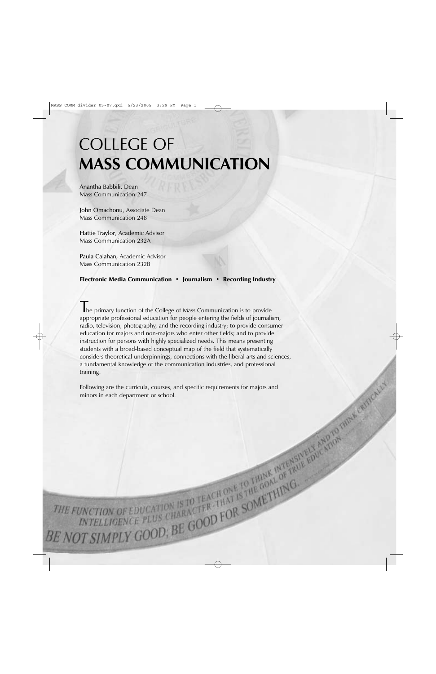# COLLEGE OF **MASS COMMUNICATION**

Anantha Babbili, Dean Mass Communication 247

John Omachonu, Associate Dean Mass Communication 248

Hattie Traylor, Academic Advisor Mass Communication 232A

Paula Calahan, Academic Advisor Mass Communication 232B

## Electronic Media Communication · Journalism · Recording Industry

The primary function of the College of Mass Communication is to provide appropriate professional education for people entering the fields of journalism, radio, television, photography, and the recording industry; to provide consumer education for majors and non-majors who enter other fields; and to provide instruction for persons with highly specialized needs. This means presenting students with a broad-based conceptual map of the field that systematically considers theoretical underpinnings, connections with the liberal arts and sciences, a fundamental knowledge of the communication industries, and professional training.

Following are the curricula, courses, and specific requirements for majors and minors in each department or school.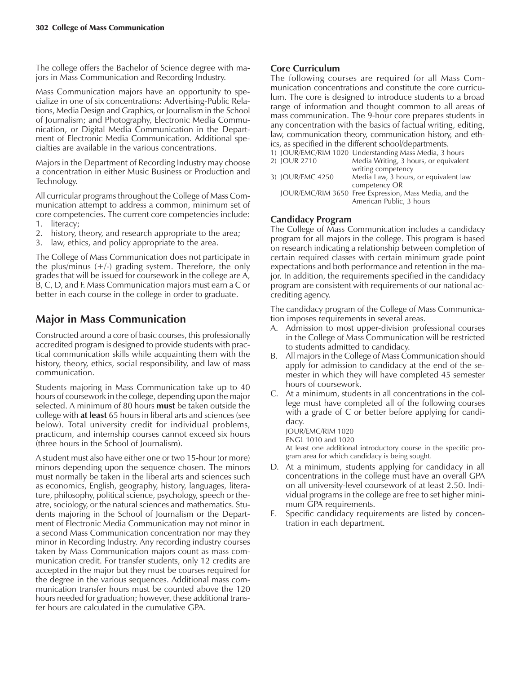The college offers the Bachelor of Science degree with majors in Mass Communication and Recording Industry.

Mass Communication majors have an opportunity to specialize in one of six concentrations: Advertising-Public Relations, Media Design and Graphics, or Journalism in the School of Journalism; and Photography, Electronic Media Communication, or Digital Media Communication in the Department of Electronic Media Communication. Additional specialties are available in the various concentrations.

Majors in the Department of Recording Industry may choose a concentration in either Music Business or Production and Technology.

All curricular programs throughout the College of Mass Communication attempt to address a common, minimum set of core competencies. The current core competencies include: 1. literacy;

- 2. history, theory, and research appropriate to the area;
- 3. law, ethics, and policy appropriate to the area.

The College of Mass Communication does not participate in the plus/minus  $(+/-)$  grading system. Therefore, the only grades that will be issued for coursework in the college are A, B, C, D, and F. Mass Communication majors must earn a C or better in each course in the college in order to graduate.

# **Major in Mass Communication**

Constructed around a core of basic courses, this professionally accredited program is designed to provide students with practical communication skills while acquainting them with the history, theory, ethics, social responsibility, and law of mass communication.

Students majoring in Mass Communication take up to 40 hours of coursework in the college, depending upon the major selected. A minimum of 80 hours **must** be taken outside the college with **at least** 65 hours in liberal arts and sciences (see below). Total university credit for individual problems, practicum, and internship courses cannot exceed six hours (three hours in the School of Journalism).

A student must also have either one or two 15-hour (or more) minors depending upon the sequence chosen. The minors must normally be taken in the liberal arts and sciences such as economics, English, geography, history, languages, literature, philosophy, political science, psychology, speech or theatre, sociology, or the natural sciences and mathematics. Students majoring in the School of Journalism or the Department of Electronic Media Communication may not minor in a second Mass Communication concentration nor may they minor in Recording Industry. Any recording industry courses taken by Mass Communication majors count as mass communication credit. For transfer students, only 12 credits are accepted in the major but they must be courses required for the degree in the various sequences. Additional mass communication transfer hours must be counted above the 120 hours needed for graduation; however, these additional transfer hours are calculated in the cumulative GPA.

## **Core Curriculum**

The following courses are required for all Mass Communication concentrations and constitute the core curriculum. The core is designed to introduce students to a broad range of information and thought common to all areas of mass communication. The 9-hour core prepares students in any concentration with the basics of factual writing, editing, law, communication theory, communication history, and ethics, as specified in the different school/departments.

|                  | 1) JOUR/EMC/RIM 1020 Understanding Mass Media, 3 hours |
|------------------|--------------------------------------------------------|
| 2) JOUR 2710     | Media Writing, 3 hours, or equivalent                  |
|                  | writing competency                                     |
| 3) JOUR/EMC 4250 | Media Law, 3 hours, or equivalent law                  |
|                  | competency OR                                          |
|                  | JOUR/EMC/RIM 3650 Free Expression, Mass Media, and the |
|                  | American Public, 3 hours                               |
|                  |                                                        |

## **Candidacy Program**

The College of Mass Communication includes a candidacy program for all majors in the college. This program is based on research indicating a relationship between completion of certain required classes with certain minimum grade point expectations and both performance and retention in the major. In addition, the requirements specified in the candidacy program are consistent with requirements of our national accrediting agency.

The candidacy program of the College of Mass Communication imposes requirements in several areas.

- A. Admission to most upper-division professional courses in the College of Mass Communication will be restricted to students admitted to candidacy.
- B. All majors in the College of Mass Communication should apply for admission to candidacy at the end of the semester in which they will have completed 45 semester hours of coursework.
- C. At a minimum, students in all concentrations in the college must have completed all of the following courses with a grade of C or better before applying for candidacy.

JOUR/EMC/RIM 1020

ENGL 1010 and 1020 At least one additional introductory course in the specific program area for which candidacy is being sought.

- D. At a minimum, students applying for candidacy in all concentrations in the college must have an overall GPA on all university-level coursework of at least 2.50. Individual programs in the college are free to set higher minimum GPA requirements.
- E. Specific candidacy requirements are listed by concentration in each department.